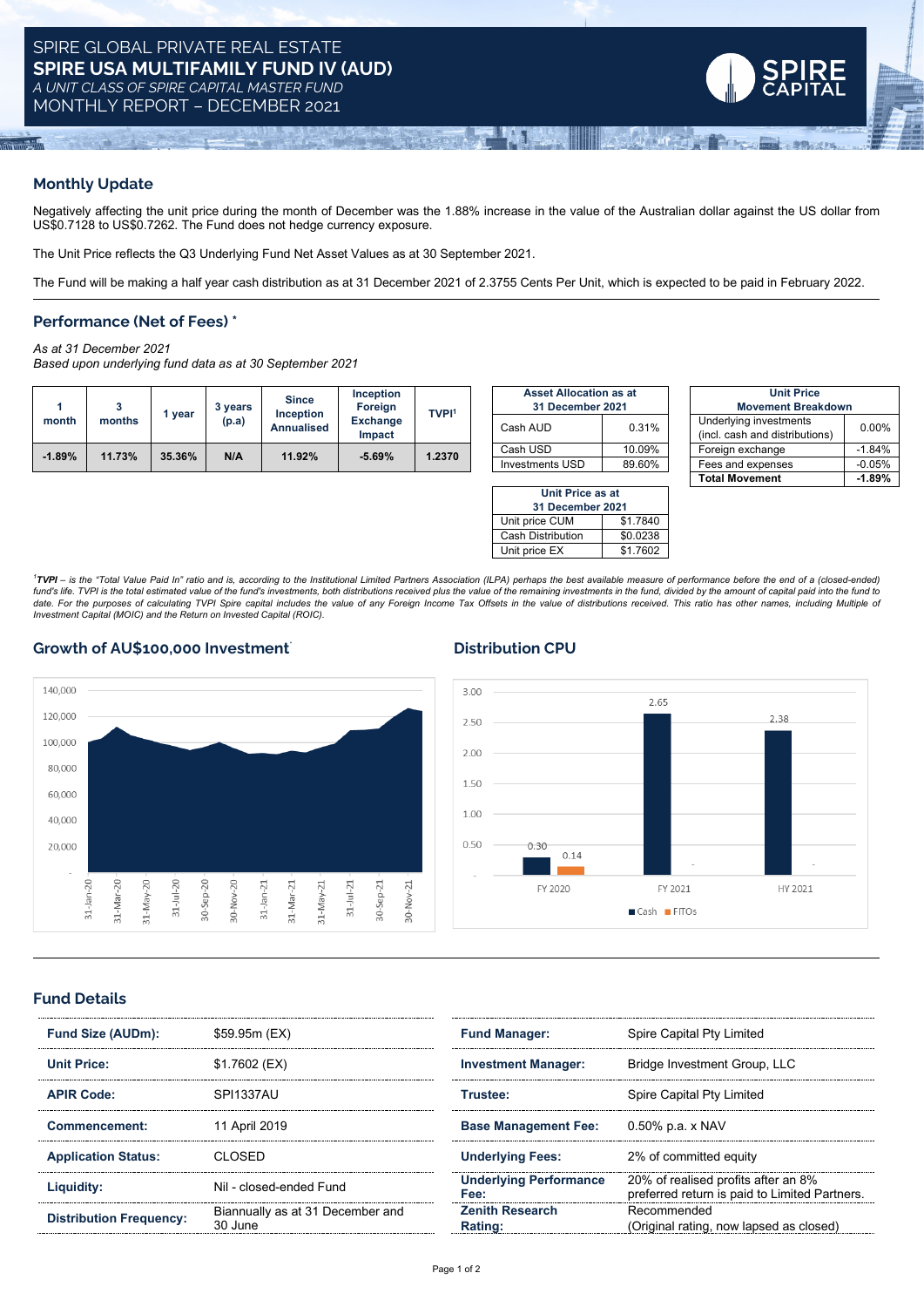

### **Monthly Update**

 $\frac{1}{2}$ 

Negatively affecting the unit price during the month of December was the 1.88% increase in the value of the Australian dollar against the US dollar from US\$0.7128 to US\$0.7262. The Fund does not hedge currency exposure.

The Unit Price reflects the Q3 Underlying Fund Net Asset Values as at 30 September 2021.

The Fund will be making a half year cash distribution as at 31 December 2021 of 2.3755 Cents Per Unit, which is expected to be paid in February 2022.

### **Performance (Net of Fees) \***

*As at 31 December 2021*

*Based upon underlying fund data as at 30 September 2021*

|          |        |        | vears | <b>Since</b><br><b>Inception</b> | <b>Inception</b><br>Foreign | <b>TVPI1</b> | <b>Asset Allocation as at</b><br>31 December 2021 |        | <b>Unit Price</b><br><b>Movement Breakdown</b>           |          |
|----------|--------|--------|-------|----------------------------------|-----------------------------|--------------|---------------------------------------------------|--------|----------------------------------------------------------|----------|
| month    | months | vear   | (p.a) | <b>Annualised</b>                | <b>Exchange</b><br>Impact   |              | Cash AUD                                          | 0.31%  | Underlying investments<br>(incl. cash and distributions) | $0.00\%$ |
| $-1.89%$ | 11.73% | 35.36% | N/A   | 11.92%                           | $-5.69%$                    | 1.2370       | Cash USD                                          | 10.09% | Foreign exchange                                         | .84%     |
|          |        |        |       |                                  |                             |              | Investments USD                                   | 89 60% | Fees and expenses                                        | $-0.05%$ |

| <b>Asset Allocation as at</b> |        | <b>Unit Prid</b>                                    |  |  |
|-------------------------------|--------|-----------------------------------------------------|--|--|
| 31 December 2021              |        | <b>Movement Bre</b>                                 |  |  |
| Cash AUD                      | 0.31%  | Underlying investments<br>(incl. cash and distribut |  |  |
| Cash USD                      | 10.09% | Foreign exchange                                    |  |  |
| <b>Investments USD</b>        | 89.60% | Fees and expenses                                   |  |  |
|                               |        |                                                     |  |  |

| Unit Price as at           |          |  |  |  |  |  |
|----------------------------|----------|--|--|--|--|--|
| 31 December 2021           |          |  |  |  |  |  |
| Unit price CUM<br>\$1.7840 |          |  |  |  |  |  |
| <b>Cash Distribution</b>   | \$0.0238 |  |  |  |  |  |
| \$1.7602<br>Unit price EX  |          |  |  |  |  |  |

|          |        |        | 3 years | <b>Since</b><br><b>Inception</b> | <b>Inception</b><br>Foreign | <b>TVPI1</b> | <b>Asset Allocation as at</b><br>31 December 2021 |        | <b>Unit Price</b><br><b>Movement Breakdown</b>           |          |
|----------|--------|--------|---------|----------------------------------|-----------------------------|--------------|---------------------------------------------------|--------|----------------------------------------------------------|----------|
| month    | months | vear   | (p.a)   | <b>Annualised</b>                | <b>Exchange</b><br>Impact   |              | Cash AUD                                          | 0.31%  | Underlying investments<br>(incl. cash and distributions) | 0.00%    |
|          | 11.73% | 35.36% | N/A     | 11.92%                           | $-5.69%$                    | 1.2370       | Cash USD                                          | 10.09% | Foreign exchange                                         | $-1.84%$ |
| $-1.89%$ |        |        |         |                                  |                             |              | Investments USD                                   | 89.60% | Fees and expenses                                        | $-0.05%$ |
|          |        |        |         |                                  |                             |              |                                                   |        | <b>Total Movement</b>                                    | $-1.89%$ |

2.38

HY 2021

<sup>1</sup>TVPI - is the "Total Value Paid In" ratio and is, according to the Institutional Limited Partners Association (ILPA) perhaps the best available measure of performance before the end of a (closed-ended, fund's life. TVPI is the total estimated value of the fund's investments, both distributions received plus the value of the remaining investments in the fund, divided by the amount of capital paid into the fund to<br>date. Fo *Investment Capital (MOIC) and the Return on Invested Capital (ROIC).*

### **Growth of AU\$100,000 Investment**\* **Distribution CPU**



# **Fund Details**

| Fund Size (AUDm):              | \$59.95m (EX)                               | <b>Fund Manager:</b>                  | Spire Capital Pty Limited                                                                                                          |  |
|--------------------------------|---------------------------------------------|---------------------------------------|------------------------------------------------------------------------------------------------------------------------------------|--|
| Unit Price:                    | \$1.7602 (EX)                               | <b>Investment Manager:</b>            | Bridge Investment Group, LLC                                                                                                       |  |
| <b>APIR Code:</b>              | SPI1337AU                                   | Trustee:                              | Spire Capital Pty Limited                                                                                                          |  |
| Commencement:                  | 11 April 2019                               | <b>Base Management Fee:</b>           | 0.50% p.a. x NAV<br>2% of committed equity<br>20% of realised profits after an 8%<br>preferred return is paid to Limited Partners. |  |
| <b>Application Status:</b>     | CLOSED                                      | <b>Underlying Fees:</b>               |                                                                                                                                    |  |
| Liquidity:                     | Nil - closed-ended Fund                     | <b>Underlying Performance</b><br>Fee: |                                                                                                                                    |  |
| <b>Distribution Frequency:</b> | Biannually as at 31 December and<br>30 June | <b>Zenith Research</b><br>Rating:     | Recommended<br>(Original rating, now lapsed as closed)                                                                             |  |